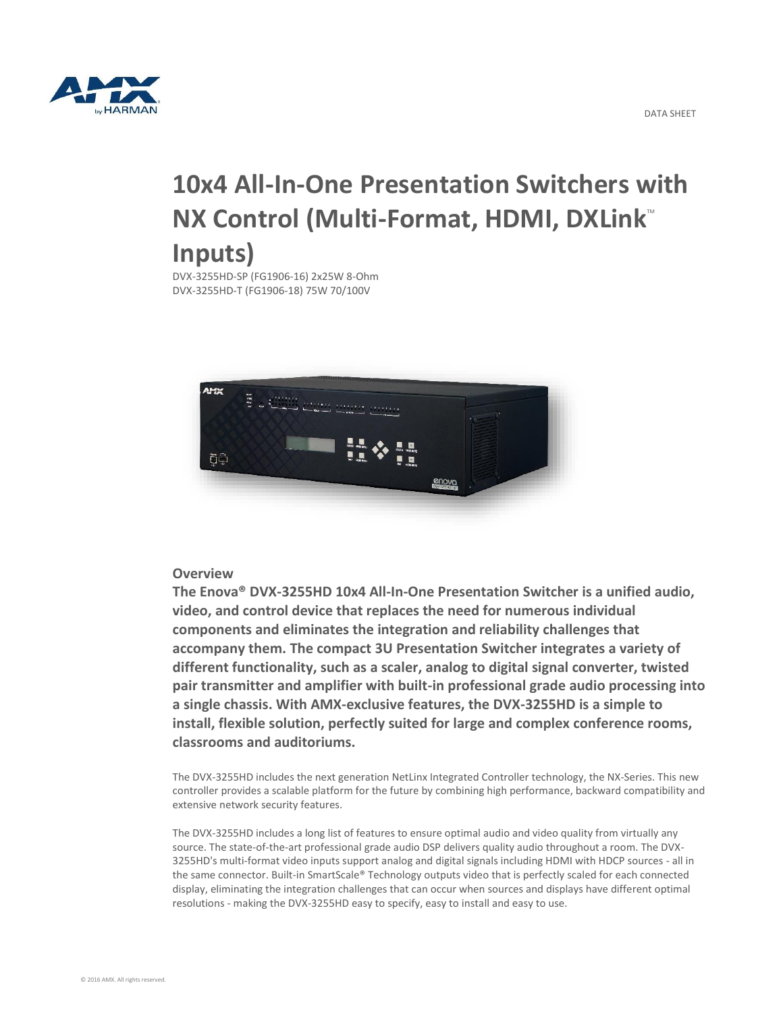

# **10x4 All-In-One Presentation Switchers with NX Control (Multi-Format, HDMI, DXLink<sup>TM</sup>) Inputs)**

DVX-3255HD-SP (FG1906-16) 2x25W 8-Ohm DVX-3255HD-T (FG1906-18) 75W 70/100V



### **Overview**

**The Enova® DVX-3255HD 10x4 All-In-One Presentation Switcher is a unified audio, video, and control device that replaces the need for numerous individual components and eliminates the integration and reliability challenges that accompany them. The compact 3U Presentation Switcher integrates a variety of different functionality, such as a scaler, analog to digital signal converter, twisted pair transmitter and amplifier with built-in professional grade audio processing into a single chassis. With AMX-exclusive features, the DVX-3255HD is a simple to install, flexible solution, perfectly suited for large and complex conference rooms, classrooms and auditoriums.**

The DVX-3255HD includes the next generation NetLinx Integrated Controller technology, the NX-Series. This new controller provides a scalable platform for the future by combining high performance, backward compatibility and extensive network security features.

The DVX-3255HD includes a long list of features to ensure optimal audio and video quality from virtually any source. The state-of-the-art professional grade audio DSP delivers quality audio throughout a room. The DVX-3255HD's multi-format video inputs support analog and digital signals including HDMI with HDCP sources - all in the same connector. Built-in SmartScale® Technology outputs video that is perfectly scaled for each connected display, eliminating the integration challenges that can occur when sources and displays have different optimal resolutions - making the DVX-3255HD easy to specify, easy to install and easy to use.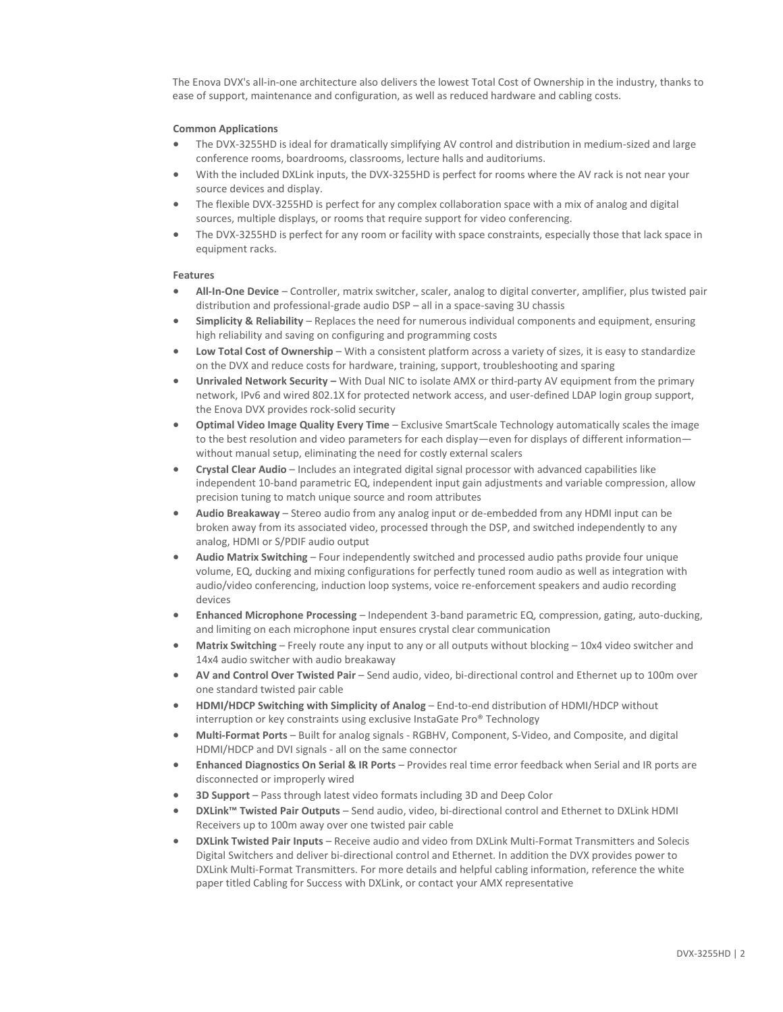The Enova DVX's all-in-one architecture also delivers the lowest Total Cost of Ownership in the industry, thanks to ease of support, maintenance and configuration, as well as reduced hardware and cabling costs.

#### **Common Applications**

- The DVX-3255HD is ideal for dramatically simplifying AV control and distribution in medium-sized and large conference rooms, boardrooms, classrooms, lecture halls and auditoriums.
- With the included DXLink inputs, the DVX-3255HD is perfect for rooms where the AV rack is not near your source devices and display.
- The flexible DVX-3255HD is perfect for any complex collaboration space with a mix of analog and digital sources, multiple displays, or rooms that require support for video conferencing.
- The DVX-3255HD is perfect for any room or facility with space constraints, especially those that lack space in equipment racks.

#### **Features**

- **All-In-One Device** Controller, matrix switcher, scaler, analog to digital converter, amplifier, plus twisted pair distribution and professional-grade audio DSP – all in a space-saving 3U chassis
- **Simplicity & Reliability** Replaces the need for numerous individual components and equipment, ensuring high reliability and saving on configuring and programming costs
- **Low Total Cost of Ownership** With a consistent platform across a variety of sizes, it is easy to standardize on the DVX and reduce costs for hardware, training, support, troubleshooting and sparing
- **Unrivaled Network Security –** With Dual NIC to isolate AMX or third-party AV equipment from the primary network, IPv6 and wired 802.1X for protected network access, and user-defined LDAP login group support, the Enova DVX provides rock-solid security
- **Optimal Video Image Quality Every Time** Exclusive SmartScale Technology automatically scales the image to the best resolution and video parameters for each display—even for displays of different information without manual setup, eliminating the need for costly external scalers
- **Crystal Clear Audio** Includes an integrated digital signal processor with advanced capabilities like independent 10-band parametric EQ, independent input gain adjustments and variable compression, allow precision tuning to match unique source and room attributes
- **Audio Breakaway** Stereo audio from any analog input or de-embedded from any HDMI input can be broken away from its associated video, processed through the DSP, and switched independently to any analog, HDMI or S/PDIF audio output
- **Audio Matrix Switching** Four independently switched and processed audio paths provide four unique volume, EQ, ducking and mixing configurations for perfectly tuned room audio as well as integration with audio/video conferencing, induction loop systems, voice re-enforcement speakers and audio recording devices
- **Enhanced Microphone Processing** Independent 3-band parametric EQ, compression, gating, auto-ducking, and limiting on each microphone input ensures crystal clear communication
- **Matrix Switching** Freely route any input to any or all outputs without blocking 10x4 video switcher and 14x4 audio switcher with audio breakaway
- **AV and Control Over Twisted Pair** Send audio, video, bi-directional control and Ethernet up to 100m over one standard twisted pair cable
- **HDMI/HDCP Switching with Simplicity of Analog** End-to-end distribution of HDMI/HDCP without interruption or key constraints using exclusive InstaGate Pro® Technology
- **Multi-Format Ports** Built for analog signals RGBHV, Component, S-Video, and Composite, and digital HDMI/HDCP and DVI signals - all on the same connector
- **Enhanced Diagnostics On Serial & IR Ports** Provides real time error feedback when Serial and IR ports are disconnected or improperly wired
- **3D Support** Pass through latest video formats including 3D and Deep Color
- **DXLink™ Twisted Pair Outputs** Send audio, video, bi-directional control and Ethernet to DXLink HDMI Receivers up to 100m away over one twisted pair cable
- **DXLink Twisted Pair Inputs** Receive audio and video from DXLink Multi-Format Transmitters and Solecis Digital Switchers and deliver bi-directional control and Ethernet. In addition the DVX provides power to DXLink Multi-Format Transmitters. For more details and helpful cabling information, reference the white paper titled Cabling for Success with DXLink, or contact your AMX representative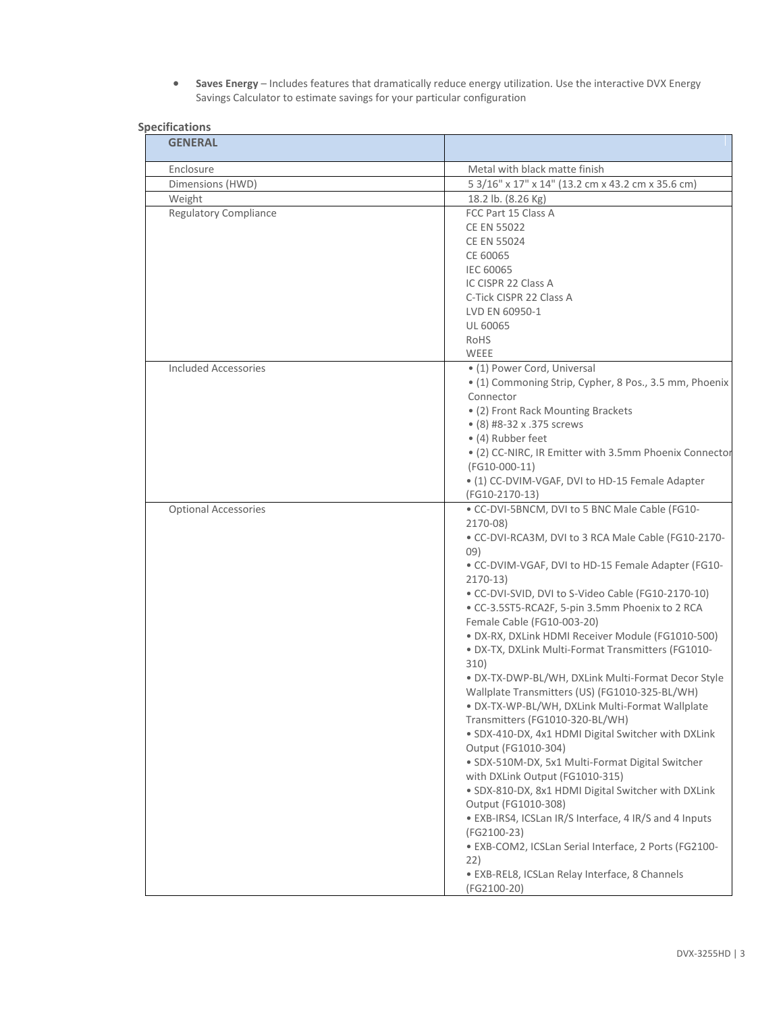**Saves Energy** – Includes features that dramatically reduce energy utilization. Use the interactive DVX Energy Savings Calculator to estimate savings for your particular configuration

| <b>GENERAL</b>               |                                                                               |
|------------------------------|-------------------------------------------------------------------------------|
| Enclosure                    | Metal with black matte finish                                                 |
| Dimensions (HWD)             | 5 3/16" x 17" x 14" (13.2 cm x 43.2 cm x 35.6 cm)                             |
| Weight                       | 18.2 lb. (8.26 Kg)                                                            |
| <b>Regulatory Compliance</b> | FCC Part 15 Class A                                                           |
|                              | <b>CE EN 55022</b>                                                            |
|                              | <b>CE EN 55024</b>                                                            |
|                              | CE 60065                                                                      |
|                              | <b>IEC 60065</b><br>IC CISPR 22 Class A                                       |
|                              | C-Tick CISPR 22 Class A                                                       |
|                              | LVD EN 60950-1                                                                |
|                              | UL 60065                                                                      |
|                              | RoHS                                                                          |
|                              | WEEE                                                                          |
| <b>Included Accessories</b>  | • (1) Power Cord, Universal                                                   |
|                              | · (1) Commoning Strip, Cypher, 8 Pos., 3.5 mm, Phoenix                        |
|                              | Connector                                                                     |
|                              | · (2) Front Rack Mounting Brackets                                            |
|                              | • (8) #8-32 x .375 screws                                                     |
|                              | • (4) Rubber feet                                                             |
|                              | • (2) CC-NIRC, IR Emitter with 3.5mm Phoenix Connector                        |
|                              | (FG10-000-11)<br>• (1) CC-DVIM-VGAF, DVI to HD-15 Female Adapter              |
|                              | (FG10-2170-13)                                                                |
| <b>Optional Accessories</b>  | . CC-DVI-5BNCM, DVI to 5 BNC Male Cable (FG10-                                |
|                              | 2170-08)                                                                      |
|                              | . CC-DVI-RCA3M, DVI to 3 RCA Male Cable (FG10-2170-<br>09)                    |
|                              | . CC-DVIM-VGAF, DVI to HD-15 Female Adapter (FG10-                            |
|                              | $2170-13$                                                                     |
|                              | . CC-DVI-SVID, DVI to S-Video Cable (FG10-2170-10)                            |
|                              | · CC-3.5ST5-RCA2F, 5-pin 3.5mm Phoenix to 2 RCA                               |
|                              | Female Cable (FG10-003-20)                                                    |
|                              | · DX-RX, DXLink HDMI Receiver Module (FG1010-500)                             |
|                              | · DX-TX, DXLink Multi-Format Transmitters (FG1010-<br>310)                    |
|                              | · DX-TX-DWP-BL/WH, DXLink Multi-Format Decor Style                            |
|                              | Wallplate Transmitters (US) (FG1010-325-BL/WH)                                |
|                              | · DX-TX-WP-BL/WH, DXLink Multi-Format Wallplate                               |
|                              | Transmitters (FG1010-320-BL/WH)                                               |
|                              | · SDX-410-DX, 4x1 HDMI Digital Switcher with DXLink                           |
|                              | Output (FG1010-304)<br>· SDX-510M-DX, 5x1 Multi-Format Digital Switcher       |
|                              | with DXLink Output (FG1010-315)                                               |
|                              | · SDX-810-DX, 8x1 HDMI Digital Switcher with DXLink                           |
|                              | Output (FG1010-308)<br>· EXB-IRS4, ICSLan IR/S Interface, 4 IR/S and 4 Inputs |
|                              | (FG2100-23)                                                                   |
|                              | · EXB-COM2, ICSLan Serial Interface, 2 Ports (FG2100-<br>22)                  |
|                              | · EXB-REL8, ICSLan Relay Interface, 8 Channels<br>(FG2100-20)                 |

## **Specifications**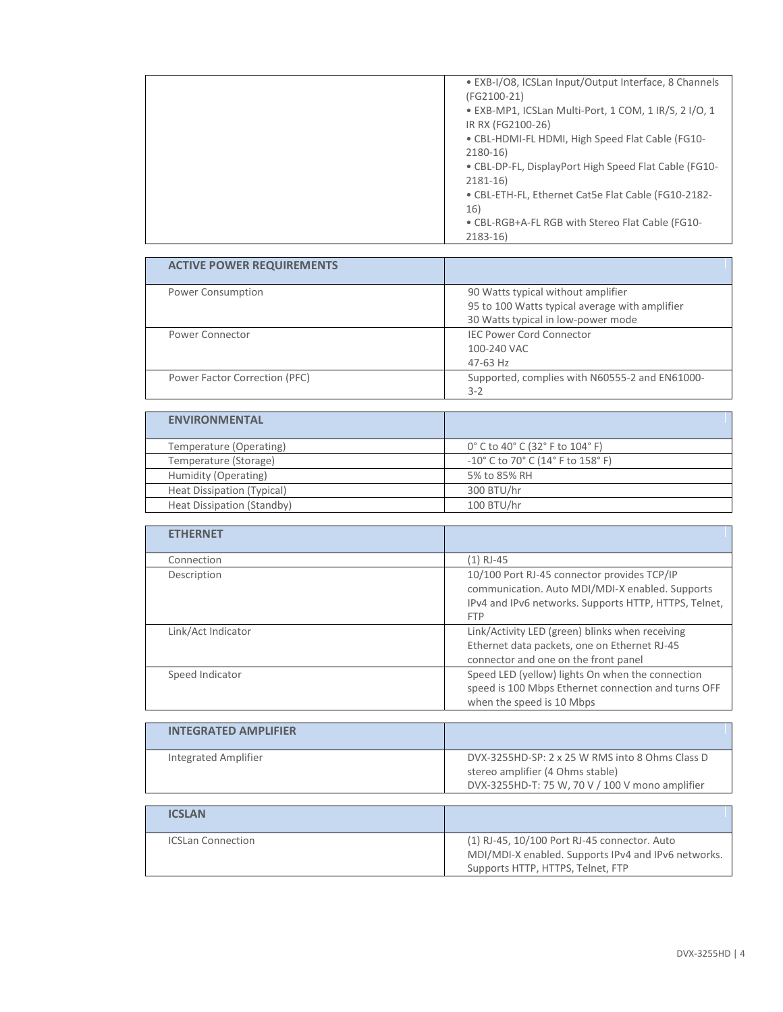| • EXB-I/O8, ICSLan Input/Output Interface, 8 Channels |
|-------------------------------------------------------|
| (FG2100-21)                                           |
| • EXB-MP1, ICSLan Multi-Port, 1 COM, 1 IR/S, 2 I/O, 1 |
| IR RX (FG2100-26)                                     |
| • CBL-HDMI-FL HDMI, High Speed Flat Cable (FG10-      |
| $2180-16$                                             |
| . CBL-DP-FL, DisplayPort High Speed Flat Cable (FG10- |
| $2181 - 16$                                           |
| • CBL-ETH-FL, Ethernet Cat5e Flat Cable (FG10-2182-   |
| 16)                                                   |
| . CBL-RGB+A-FL RGB with Stereo Flat Cable (FG10-      |
| $2183 - 16$                                           |

| <b>ACTIVE POWER REQUIREMENTS</b> |                                                |
|----------------------------------|------------------------------------------------|
| Power Consumption                | 90 Watts typical without amplifier             |
|                                  | 95 to 100 Watts typical average with amplifier |
|                                  | 30 Watts typical in low-power mode             |
| Power Connector                  | <b>IEC Power Cord Connector</b>                |
|                                  | 100-240 VAC                                    |
|                                  | 47-63 Hz                                       |
| Power Factor Correction (PFC)    | Supported, complies with N60555-2 and EN61000- |
|                                  | $3 - 2$                                        |

| <b>ENVIRONMENTAL</b>       |                                                                          |
|----------------------------|--------------------------------------------------------------------------|
| Temperature (Operating)    | 0° C to 40° C (32° F to 104° F)                                          |
| Temperature (Storage)      | $-10^{\circ}$ C to 70 $^{\circ}$ C (14 $^{\circ}$ F to 158 $^{\circ}$ F) |
| Humidity (Operating)       | 5% to 85% RH                                                             |
| Heat Dissipation (Typical) | 300 BTU/hr                                                               |
| Heat Dissipation (Standby) | 100 BTU/hr                                                               |

| <b>ETHERNET</b>    |                                                                                                                                                                       |
|--------------------|-----------------------------------------------------------------------------------------------------------------------------------------------------------------------|
| Connection         | (1) RJ-45                                                                                                                                                             |
| Description        | 10/100 Port RJ-45 connector provides TCP/IP<br>communication. Auto MDI/MDI-X enabled. Supports<br>IPv4 and IPv6 networks. Supports HTTP, HTTPS, Telnet,<br><b>FTP</b> |
| Link/Act Indicator | Link/Activity LED (green) blinks when receiving<br>Ethernet data packets, one on Ethernet RJ-45<br>connector and one on the front panel                               |
| Speed Indicator    | Speed LED (yellow) lights On when the connection<br>speed is 100 Mbps Ethernet connection and turns OFF<br>when the speed is 10 Mbps                                  |

| <b>INTEGRATED AMPLIFIER</b> |                                                                                                                                        |
|-----------------------------|----------------------------------------------------------------------------------------------------------------------------------------|
| <b>Integrated Amplifier</b> | DVX-3255HD-SP: 2 x 25 W RMS into 8 Ohms Class D<br>stereo amplifier (4 Ohms stable)<br>DVX-3255HD-T: 75 W, 70 V / 100 V mono amplifier |
|                             |                                                                                                                                        |

| <b>ICSLAN</b>            |                                                                                                     |
|--------------------------|-----------------------------------------------------------------------------------------------------|
| <b>ICSLan Connection</b> | (1) RJ-45, 10/100 Port RJ-45 connector. Auto<br>MDI/MDI-X enabled. Supports IPv4 and IPv6 networks. |
|                          | Supports HTTP, HTTPS, Telnet, FTP                                                                   |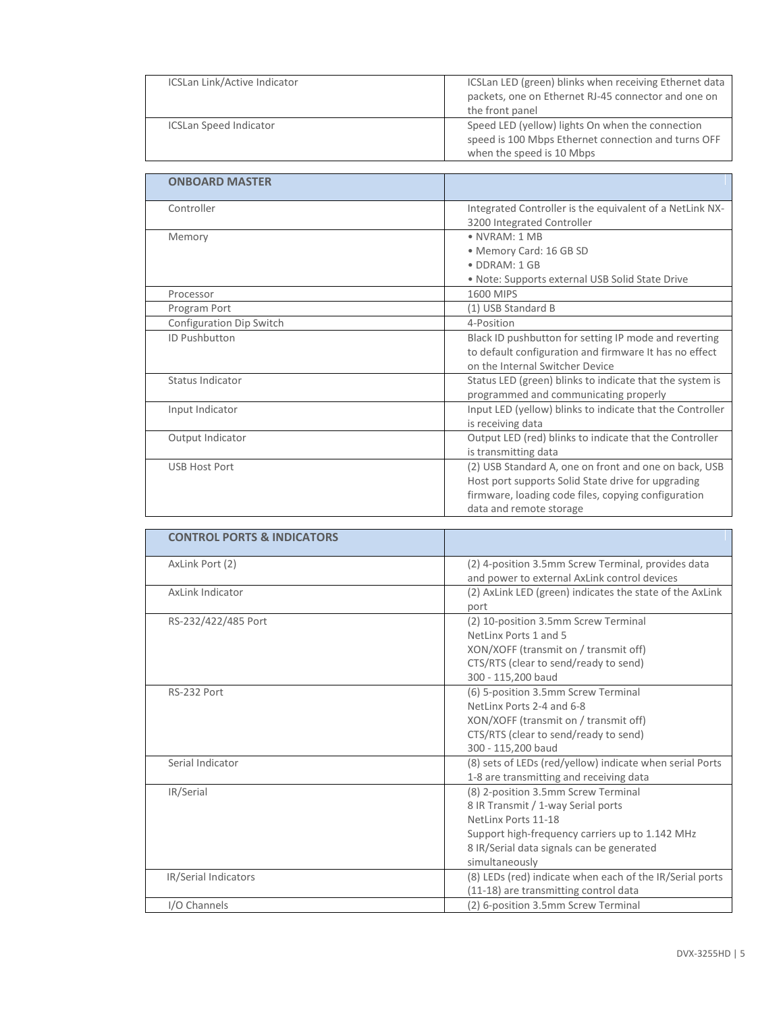| ICSLan Link/Active Indicator  | ICSLan LED (green) blinks when receiving Ethernet data<br>packets, one on Ethernet RJ-45 connector and one on<br>the front panel     |
|-------------------------------|--------------------------------------------------------------------------------------------------------------------------------------|
| <b>ICSLan Speed Indicator</b> | Speed LED (yellow) lights On when the connection<br>speed is 100 Mbps Ethernet connection and turns OFF<br>when the speed is 10 Mbps |
|                               |                                                                                                                                      |
| <b>ONBOARD MASTER</b>         |                                                                                                                                      |
| Controller                    | Integrated Controller is the equivalent of a NetLink NX-                                                                             |

|                          | megnated controller is the equivalent or a retenin not    |
|--------------------------|-----------------------------------------------------------|
|                          | 3200 Integrated Controller                                |
| Memory                   | • NVRAM: 1 MB                                             |
|                          | • Memory Card: 16 GB SD                                   |
|                          | · DDRAM: 1 GB                                             |
|                          | • Note: Supports external USB Solid State Drive           |
| Processor                | 1600 MIPS                                                 |
| Program Port             | (1) USB Standard B                                        |
| Configuration Dip Switch | 4-Position                                                |
| ID Pushbutton            | Black ID pushbutton for setting IP mode and reverting     |
|                          | to default configuration and firmware It has no effect    |
|                          | on the Internal Switcher Device                           |
| Status Indicator         | Status LED (green) blinks to indicate that the system is  |
|                          | programmed and communicating properly                     |
| Input Indicator          | Input LED (yellow) blinks to indicate that the Controller |
|                          | is receiving data                                         |
| Output Indicator         | Output LED (red) blinks to indicate that the Controller   |
|                          | is transmitting data                                      |
| <b>USB Host Port</b>     | (2) USB Standard A, one on front and one on back, USB     |
|                          | Host port supports Solid State drive for upgrading        |
|                          | firmware, loading code files, copying configuration       |
|                          | data and remote storage                                   |

| <b>CONTROL PORTS &amp; INDICATORS</b> |                                                                                                                                                                                                                    |
|---------------------------------------|--------------------------------------------------------------------------------------------------------------------------------------------------------------------------------------------------------------------|
| AxLink Port (2)                       | (2) 4-position 3.5mm Screw Terminal, provides data<br>and power to external AxLink control devices                                                                                                                 |
| AxLink Indicator                      | (2) AxLink LED (green) indicates the state of the AxLink<br>port                                                                                                                                                   |
| RS-232/422/485 Port                   | (2) 10-position 3.5mm Screw Terminal<br>NetLinx Ports 1 and 5<br>XON/XOFF (transmit on / transmit off)<br>CTS/RTS (clear to send/ready to send)<br>300 - 115,200 baud                                              |
| RS-232 Port                           | (6) 5-position 3.5mm Screw Terminal<br>NetLinx Ports 2-4 and 6-8<br>XON/XOFF (transmit on / transmit off)<br>CTS/RTS (clear to send/ready to send)<br>300 - 115,200 baud                                           |
| Serial Indicator                      | (8) sets of LEDs (red/yellow) indicate when serial Ports<br>1-8 are transmitting and receiving data                                                                                                                |
| IR/Serial                             | (8) 2-position 3.5mm Screw Terminal<br>8 IR Transmit / 1-way Serial ports<br>NetLinx Ports 11-18<br>Support high-frequency carriers up to 1.142 MHz<br>8 IR/Serial data signals can be generated<br>simultaneously |
| IR/Serial Indicators                  | (8) LEDs (red) indicate when each of the IR/Serial ports<br>(11-18) are transmitting control data                                                                                                                  |
| I/O Channels                          | (2) 6-position 3.5mm Screw Terminal                                                                                                                                                                                |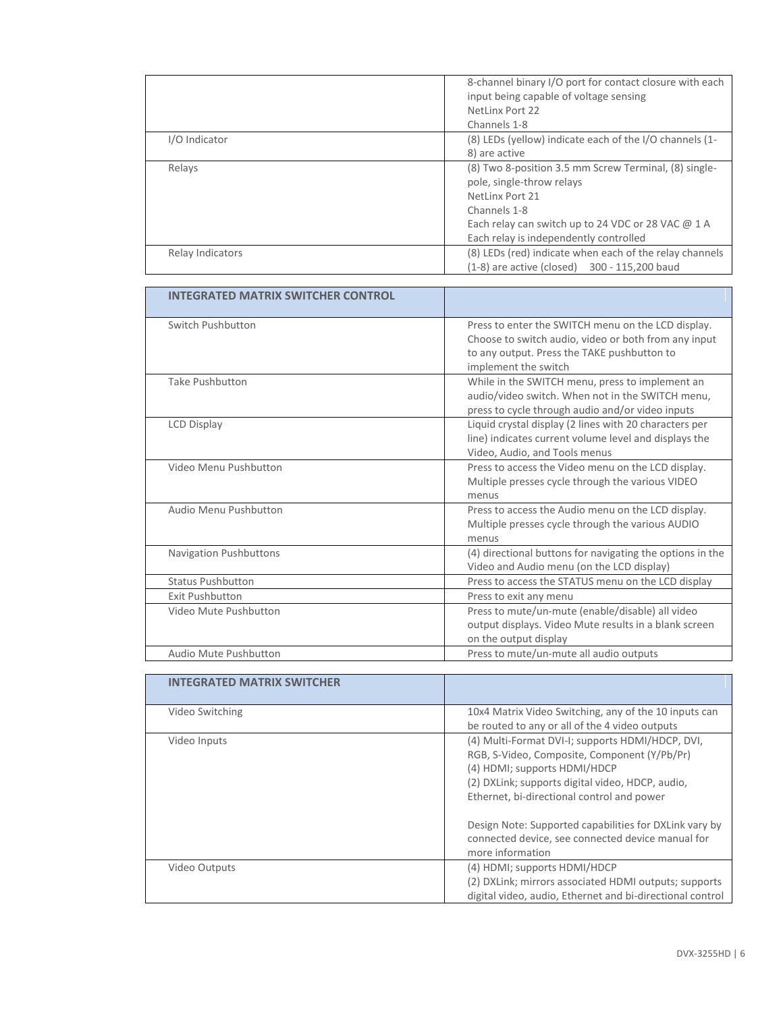|                  | 8-channel binary I/O port for contact closure with each<br>input being capable of voltage sensing<br>NetLinx Port 22                                                                                                  |
|------------------|-----------------------------------------------------------------------------------------------------------------------------------------------------------------------------------------------------------------------|
|                  | Channels 1-8                                                                                                                                                                                                          |
| I/O Indicator    | (8) LEDs (yellow) indicate each of the I/O channels (1-<br>8) are active                                                                                                                                              |
| Relays           | (8) Two 8-position 3.5 mm Screw Terminal, (8) single-<br>pole, single-throw relays<br>NetLinx Port 21<br>Channels 1-8<br>Each relay can switch up to 24 VDC or 28 VAC @ 1 A<br>Each relay is independently controlled |
| Relay Indicators | (8) LEDs (red) indicate when each of the relay channels<br>300 - 115.200 baud<br>$(1-8)$ are active (closed)                                                                                                          |

| <b>INTEGRATED MATRIX SWITCHER CONTROL</b> |                                                                                                                                                                                   |
|-------------------------------------------|-----------------------------------------------------------------------------------------------------------------------------------------------------------------------------------|
| Switch Pushbutton                         | Press to enter the SWITCH menu on the LCD display.<br>Choose to switch audio, video or both from any input<br>to any output. Press the TAKE pushbutton to<br>implement the switch |
| <b>Take Pushbutton</b>                    | While in the SWITCH menu, press to implement an<br>audio/video switch. When not in the SWITCH menu,<br>press to cycle through audio and/or video inputs                           |
| <b>LCD Display</b>                        | Liquid crystal display (2 lines with 20 characters per<br>line) indicates current volume level and displays the<br>Video, Audio, and Tools menus                                  |
| Video Menu Pushbutton                     | Press to access the Video menu on the LCD display.<br>Multiple presses cycle through the various VIDEO<br>menus                                                                   |
| Audio Menu Pushbutton                     | Press to access the Audio menu on the LCD display.<br>Multiple presses cycle through the various AUDIO<br>menus                                                                   |
| <b>Navigation Pushbuttons</b>             | (4) directional buttons for navigating the options in the<br>Video and Audio menu (on the LCD display)                                                                            |
| <b>Status Pushbutton</b>                  | Press to access the STATUS menu on the LCD display                                                                                                                                |
| <b>Exit Pushbutton</b>                    | Press to exit any menu                                                                                                                                                            |
| Video Mute Pushbutton                     | Press to mute/un-mute (enable/disable) all video<br>output displays. Video Mute results in a blank screen<br>on the output display                                                |
| Audio Mute Pushbutton                     | Press to mute/un-mute all audio outputs                                                                                                                                           |

| <b>INTEGRATED MATRIX SWITCHER</b> |                                                           |
|-----------------------------------|-----------------------------------------------------------|
| Video Switching                   | 10x4 Matrix Video Switching, any of the 10 inputs can     |
|                                   | be routed to any or all of the 4 video outputs            |
| Video Inputs                      | (4) Multi-Format DVI-I; supports HDMI/HDCP, DVI,          |
|                                   | RGB, S-Video, Composite, Component (Y/Pb/Pr)              |
|                                   | (4) HDMI; supports HDMI/HDCP                              |
|                                   | (2) DXLink; supports digital video, HDCP, audio,          |
|                                   | Ethernet, bi-directional control and power                |
|                                   |                                                           |
|                                   | Design Note: Supported capabilities for DXLink vary by    |
|                                   | connected device, see connected device manual for         |
|                                   | more information                                          |
| Video Outputs                     | (4) HDMI; supports HDMI/HDCP                              |
|                                   | (2) DXLink; mirrors associated HDMI outputs; supports     |
|                                   | digital video, audio, Ethernet and bi-directional control |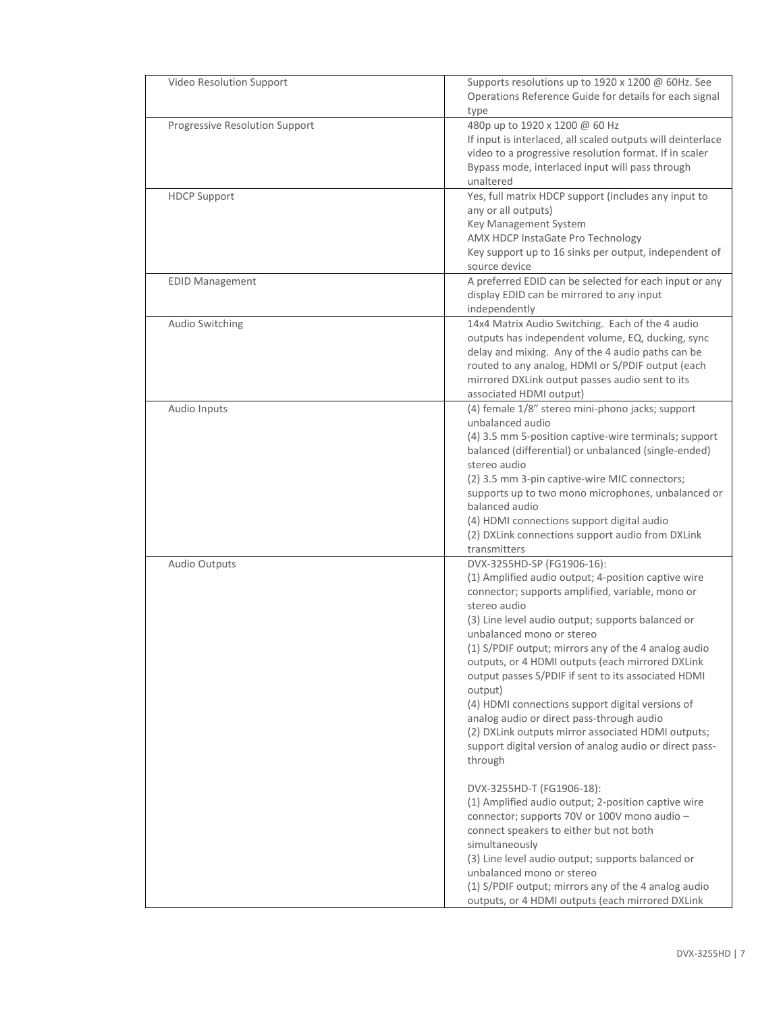| Video Resolution Support       | Supports resolutions up to 1920 x 1200 @ 60Hz. See<br>Operations Reference Guide for details for each signal                                                                                                                                                                                                                                                                                                                                                                                                                                                                                                                                                                                                                                                                                                                                                                                                                                                                                                                                      |
|--------------------------------|---------------------------------------------------------------------------------------------------------------------------------------------------------------------------------------------------------------------------------------------------------------------------------------------------------------------------------------------------------------------------------------------------------------------------------------------------------------------------------------------------------------------------------------------------------------------------------------------------------------------------------------------------------------------------------------------------------------------------------------------------------------------------------------------------------------------------------------------------------------------------------------------------------------------------------------------------------------------------------------------------------------------------------------------------|
| Progressive Resolution Support | type<br>480p up to 1920 x 1200 @ 60 Hz<br>If input is interlaced, all scaled outputs will deinterlace<br>video to a progressive resolution format. If in scaler<br>Bypass mode, interlaced input will pass through<br>unaltered                                                                                                                                                                                                                                                                                                                                                                                                                                                                                                                                                                                                                                                                                                                                                                                                                   |
| <b>HDCP Support</b>            | Yes, full matrix HDCP support (includes any input to<br>any or all outputs)<br>Key Management System<br>AMX HDCP InstaGate Pro Technology<br>Key support up to 16 sinks per output, independent of<br>source device                                                                                                                                                                                                                                                                                                                                                                                                                                                                                                                                                                                                                                                                                                                                                                                                                               |
| <b>EDID Management</b>         | A preferred EDID can be selected for each input or any<br>display EDID can be mirrored to any input<br>independently                                                                                                                                                                                                                                                                                                                                                                                                                                                                                                                                                                                                                                                                                                                                                                                                                                                                                                                              |
| Audio Switching                | 14x4 Matrix Audio Switching. Each of the 4 audio<br>outputs has independent volume, EQ, ducking, sync<br>delay and mixing. Any of the 4 audio paths can be<br>routed to any analog, HDMI or S/PDIF output (each<br>mirrored DXLink output passes audio sent to its<br>associated HDMI output)                                                                                                                                                                                                                                                                                                                                                                                                                                                                                                                                                                                                                                                                                                                                                     |
| Audio Inputs                   | (4) female 1/8" stereo mini-phono jacks; support<br>unbalanced audio<br>(4) 3.5 mm 5-position captive-wire terminals; support<br>balanced (differential) or unbalanced (single-ended)<br>stereo audio<br>(2) 3.5 mm 3-pin captive-wire MIC connectors;<br>supports up to two mono microphones, unbalanced or<br>balanced audio<br>(4) HDMI connections support digital audio<br>(2) DXLink connections support audio from DXLink<br>transmitters                                                                                                                                                                                                                                                                                                                                                                                                                                                                                                                                                                                                  |
| Audio Outputs                  | DVX-3255HD-SP (FG1906-16):<br>(1) Amplified audio output; 4-position captive wire<br>connector; supports amplified, variable, mono or<br>stereo audio<br>(3) Line level audio output; supports balanced or<br>unbalanced mono or stereo<br>(1) S/PDIF output; mirrors any of the 4 analog audio<br>outputs, or 4 HDMI outputs (each mirrored DXLink<br>output passes S/PDIF if sent to its associated HDMI<br>output)<br>(4) HDMI connections support digital versions of<br>analog audio or direct pass-through audio<br>(2) DXLink outputs mirror associated HDMI outputs;<br>support digital version of analog audio or direct pass-<br>through<br>DVX-3255HD-T (FG1906-18):<br>(1) Amplified audio output; 2-position captive wire<br>connector; supports 70V or 100V mono audio -<br>connect speakers to either but not both<br>simultaneously<br>(3) Line level audio output; supports balanced or<br>unbalanced mono or stereo<br>(1) S/PDIF output; mirrors any of the 4 analog audio<br>outputs, or 4 HDMI outputs (each mirrored DXLink |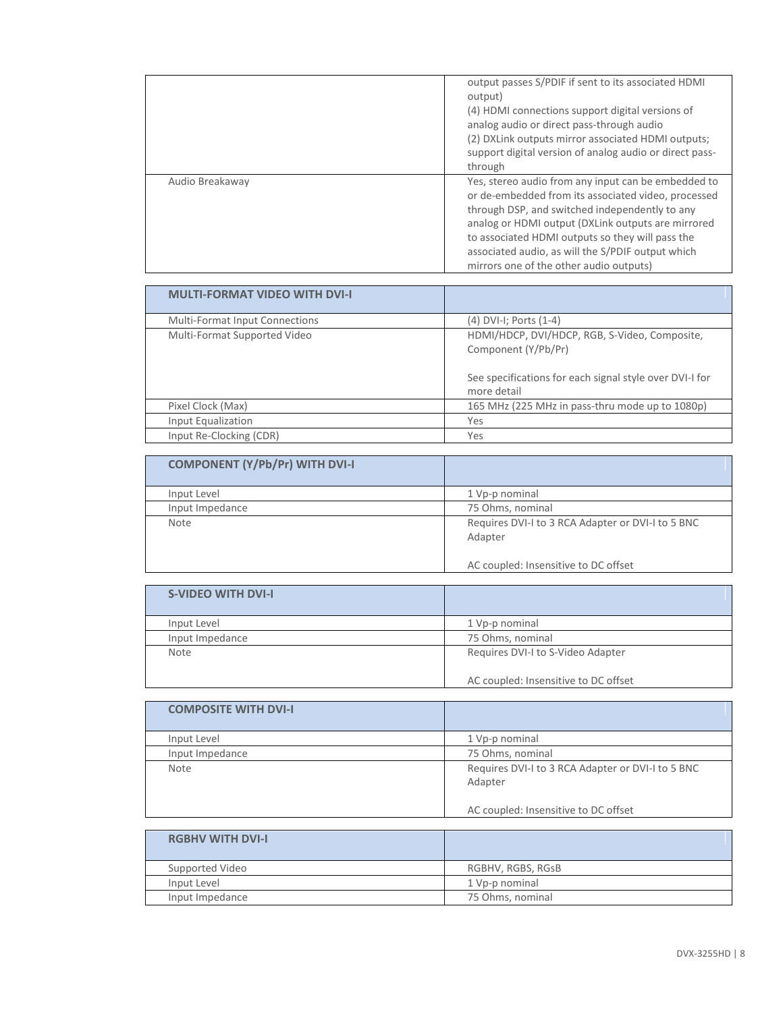|                 | output passes S/PDIF if sent to its associated HDMI<br>output)<br>(4) HDMI connections support digital versions of<br>analog audio or direct pass-through audio<br>(2) DXLink outputs mirror associated HDMI outputs;<br>support digital version of analog audio or direct pass-<br>through                                                                            |
|-----------------|------------------------------------------------------------------------------------------------------------------------------------------------------------------------------------------------------------------------------------------------------------------------------------------------------------------------------------------------------------------------|
| Audio Breakaway | Yes, stereo audio from any input can be embedded to<br>or de-embedded from its associated video, processed<br>through DSP, and switched independently to any<br>analog or HDMI output (DXLink outputs are mirrored<br>to associated HDMI outputs so they will pass the<br>associated audio, as will the S/PDIF output which<br>mirrors one of the other audio outputs) |

| <b>MULTI-FORMAT VIDEO WITH DVI-I</b>  |                                                                                                                                                |
|---------------------------------------|------------------------------------------------------------------------------------------------------------------------------------------------|
| <b>Multi-Format Input Connections</b> | (4) DVI-I; Ports (1-4)                                                                                                                         |
| Multi-Format Supported Video          | HDMI/HDCP, DVI/HDCP, RGB, S-Video, Composite,<br>Component (Y/Pb/Pr)<br>See specifications for each signal style over DVI-I for<br>more detail |
| Pixel Clock (Max)                     | 165 MHz (225 MHz in pass-thru mode up to 1080p)                                                                                                |
| Input Equalization                    | Yes                                                                                                                                            |
| Input Re-Clocking (CDR)               | Yes                                                                                                                                            |

| <b>COMPONENT (Y/Pb/Pr) WITH DVI-I</b> |                                                              |
|---------------------------------------|--------------------------------------------------------------|
| Input Level                           | 1 Vp-p nominal                                               |
| Input Impedance                       | 75 Ohms, nominal                                             |
| Note                                  | Requires DVI-I to 3 RCA Adapter or DVI-I to 5 BNC<br>Adapter |
|                                       | AC coupled: Insensitive to DC offset                         |

| <b>S-VIDEO WITH DVI-I</b> |                                      |
|---------------------------|--------------------------------------|
| Input Level               | 1 Vp-p nominal                       |
| Input Impedance           | 75 Ohms, nominal                     |
| Note                      | Requires DVI-I to S-Video Adapter    |
|                           | AC coupled: Insensitive to DC offset |

| <b>COMPOSITE WITH DVI-I</b> |                                                              |
|-----------------------------|--------------------------------------------------------------|
| Input Level                 | 1 Vp-p nominal                                               |
| Input Impedance             | 75 Ohms, nominal                                             |
| <b>Note</b>                 | Requires DVI-I to 3 RCA Adapter or DVI-I to 5 BNC<br>Adapter |
|                             | AC coupled: Insensitive to DC offset                         |

| <b>RGBHV WITH DVI-I</b> |                   |
|-------------------------|-------------------|
| Supported Video         | RGBHV, RGBS, RGsB |
| Input Level             | 1 Vp-p nominal    |
| Input Impedance         | 75 Ohms, nominal  |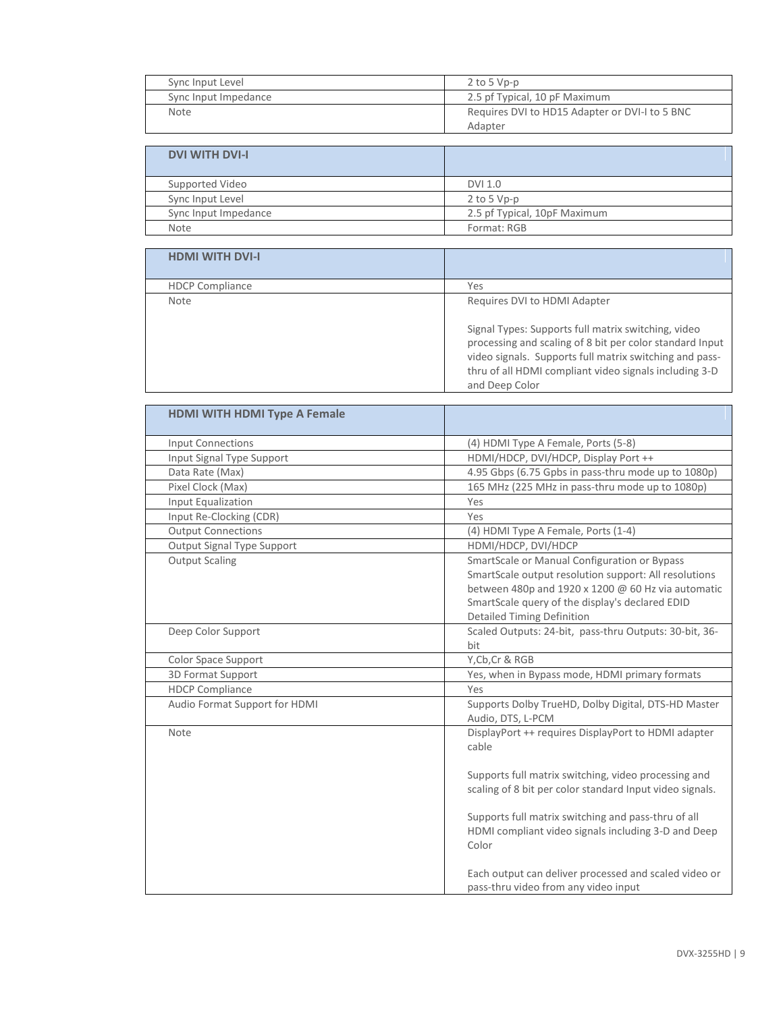| Sync Input Level     | $2$ to 5 Vp-p                                  |
|----------------------|------------------------------------------------|
| Sync Input Impedance | 2.5 pf Typical, 10 pF Maximum                  |
| <b>Note</b>          | Requires DVI to HD15 Adapter or DVI-I to 5 BNC |
|                      | Adapter                                        |

| <b>DVI WITH DVI-I</b> |                              |
|-----------------------|------------------------------|
| Supported Video       | DVI 1.0                      |
| Sync Input Level      | $2$ to 5 Vp-p                |
| Sync Input Impedance  | 2.5 pf Typical, 10pF Maximum |
| <b>Note</b>           | Format: RGB                  |

| <b>HDMI WITH DVI-I</b> |                                                                                                                                                                                                                                                        |
|------------------------|--------------------------------------------------------------------------------------------------------------------------------------------------------------------------------------------------------------------------------------------------------|
| <b>HDCP Compliance</b> | Yes                                                                                                                                                                                                                                                    |
| <b>Note</b>            | Requires DVI to HDMI Adapter                                                                                                                                                                                                                           |
|                        | Signal Types: Supports full matrix switching, video<br>processing and scaling of 8 bit per color standard Input<br>video signals. Supports full matrix switching and pass-<br>thru of all HDMI compliant video signals including 3-D<br>and Deep Color |

| <b>HDMI WITH HDMI Type A Female</b> |                                                                                                                                                                                                                                                       |
|-------------------------------------|-------------------------------------------------------------------------------------------------------------------------------------------------------------------------------------------------------------------------------------------------------|
| <b>Input Connections</b>            | (4) HDMI Type A Female, Ports (5-8)                                                                                                                                                                                                                   |
| Input Signal Type Support           | HDMI/HDCP, DVI/HDCP, Display Port ++                                                                                                                                                                                                                  |
| Data Rate (Max)                     | 4.95 Gbps (6.75 Gpbs in pass-thru mode up to 1080p)                                                                                                                                                                                                   |
| Pixel Clock (Max)                   | 165 MHz (225 MHz in pass-thru mode up to 1080p)                                                                                                                                                                                                       |
| Input Equalization                  | Yes                                                                                                                                                                                                                                                   |
| Input Re-Clocking (CDR)             | Yes                                                                                                                                                                                                                                                   |
| <b>Output Connections</b>           | (4) HDMI Type A Female, Ports (1-4)                                                                                                                                                                                                                   |
| Output Signal Type Support          | HDMI/HDCP, DVI/HDCP                                                                                                                                                                                                                                   |
| <b>Output Scaling</b>               | SmartScale or Manual Configuration or Bypass<br>SmartScale output resolution support: All resolutions<br>between 480p and 1920 x 1200 $@$ 60 Hz via automatic<br>SmartScale query of the display's declared EDID<br><b>Detailed Timing Definition</b> |
| Deep Color Support                  | Scaled Outputs: 24-bit, pass-thru Outputs: 30-bit, 36-<br>bit                                                                                                                                                                                         |
| Color Space Support                 | Y, Cb, Cr & RGB                                                                                                                                                                                                                                       |
| 3D Format Support                   | Yes, when in Bypass mode, HDMI primary formats                                                                                                                                                                                                        |
| <b>HDCP Compliance</b>              | Yes                                                                                                                                                                                                                                                   |
| Audio Format Support for HDMI       | Supports Dolby TrueHD, Dolby Digital, DTS-HD Master<br>Audio, DTS, L-PCM                                                                                                                                                                              |
| Note                                | DisplayPort ++ requires DisplayPort to HDMI adapter<br>cable                                                                                                                                                                                          |
|                                     | Supports full matrix switching, video processing and<br>scaling of 8 bit per color standard Input video signals.                                                                                                                                      |
|                                     | Supports full matrix switching and pass-thru of all<br>HDMI compliant video signals including 3-D and Deep<br>Color                                                                                                                                   |
|                                     | Each output can deliver processed and scaled video or<br>pass-thru video from any video input                                                                                                                                                         |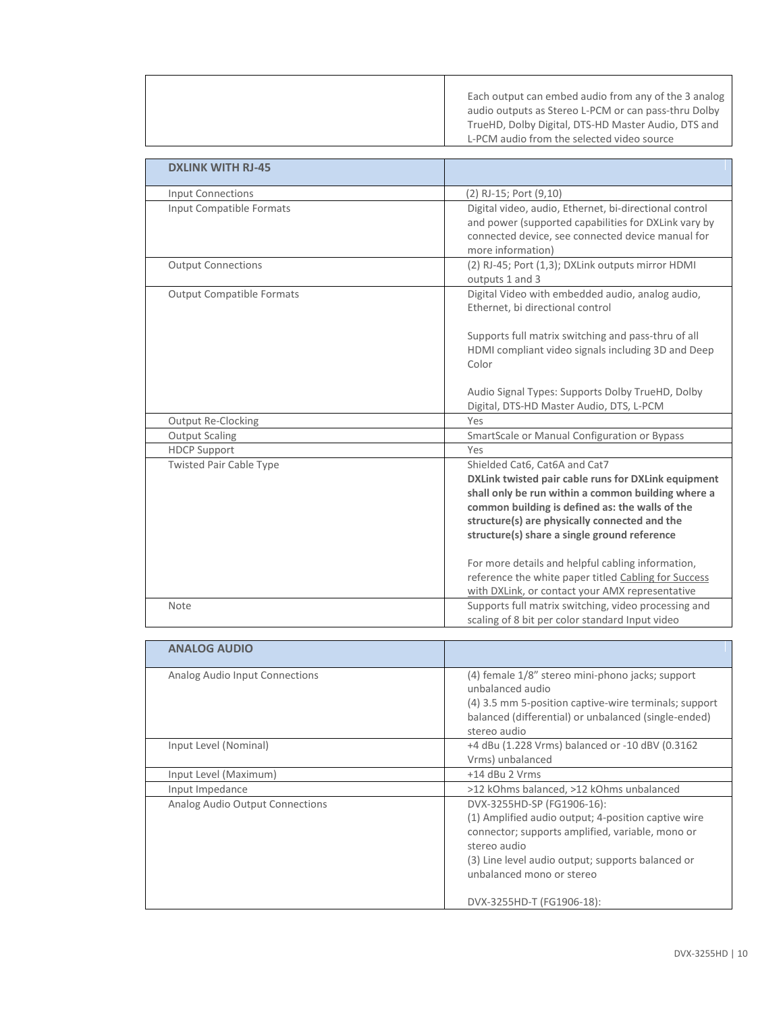|                                  | Each output can embed audio from any of the 3 analog<br>audio outputs as Stereo L-PCM or can pass-thru Dolby<br>TrueHD, Dolby Digital, DTS-HD Master Audio, DTS and<br>L-PCM audio from the selected video source                                                                                                                                                                                                                                              |
|----------------------------------|----------------------------------------------------------------------------------------------------------------------------------------------------------------------------------------------------------------------------------------------------------------------------------------------------------------------------------------------------------------------------------------------------------------------------------------------------------------|
|                                  |                                                                                                                                                                                                                                                                                                                                                                                                                                                                |
| <b>DXLINK WITH RJ-45</b>         |                                                                                                                                                                                                                                                                                                                                                                                                                                                                |
| <b>Input Connections</b>         | (2) RJ-15; Port (9,10)                                                                                                                                                                                                                                                                                                                                                                                                                                         |
| Input Compatible Formats         | Digital video, audio, Ethernet, bi-directional control<br>and power (supported capabilities for DXLink vary by<br>connected device, see connected device manual for<br>more information)                                                                                                                                                                                                                                                                       |
| <b>Output Connections</b>        | (2) RJ-45; Port (1,3); DXLink outputs mirror HDMI<br>outputs 1 and 3                                                                                                                                                                                                                                                                                                                                                                                           |
| <b>Output Compatible Formats</b> | Digital Video with embedded audio, analog audio,<br>Ethernet, bi directional control<br>Supports full matrix switching and pass-thru of all<br>HDMI compliant video signals including 3D and Deep<br>Color                                                                                                                                                                                                                                                     |
|                                  | Audio Signal Types: Supports Dolby TrueHD, Dolby<br>Digital, DTS-HD Master Audio, DTS, L-PCM                                                                                                                                                                                                                                                                                                                                                                   |
| Output Re-Clocking               | Yes                                                                                                                                                                                                                                                                                                                                                                                                                                                            |
| <b>Output Scaling</b>            | SmartScale or Manual Configuration or Bypass                                                                                                                                                                                                                                                                                                                                                                                                                   |
| <b>HDCP Support</b>              | Yes                                                                                                                                                                                                                                                                                                                                                                                                                                                            |
| <b>Twisted Pair Cable Type</b>   | Shielded Cat6, Cat6A and Cat7<br>DXLink twisted pair cable runs for DXLink equipment<br>shall only be run within a common building where a<br>common building is defined as: the walls of the<br>structure(s) are physically connected and the<br>structure(s) share a single ground reference<br>For more details and helpful cabling information,<br>reference the white paper titled Cabling for Success<br>with DXLink, or contact your AMX representative |
| Note                             | Supports full matrix switching, video processing and<br>scaling of 8 bit per color standard Input video                                                                                                                                                                                                                                                                                                                                                        |

| <b>ANALOG AUDIO</b>             |                                                                                                                                                                                                                                         |
|---------------------------------|-----------------------------------------------------------------------------------------------------------------------------------------------------------------------------------------------------------------------------------------|
| Analog Audio Input Connections  | (4) female 1/8" stereo mini-phono jacks; support<br>unbalanced audio<br>(4) 3.5 mm 5-position captive-wire terminals; support<br>balanced (differential) or unbalanced (single-ended)<br>stereo audio                                   |
| Input Level (Nominal)           | +4 dBu (1.228 Vrms) balanced or -10 dBV (0.3162<br>Vrms) unbalanced                                                                                                                                                                     |
| Input Level (Maximum)           | $+14$ dBu 2 Vrms                                                                                                                                                                                                                        |
| Input Impedance                 | >12 kOhms balanced, >12 kOhms unbalanced                                                                                                                                                                                                |
| Analog Audio Output Connections | DVX-3255HD-SP (FG1906-16):<br>(1) Amplified audio output; 4-position captive wire<br>connector; supports amplified, variable, mono or<br>stereo audio<br>(3) Line level audio output; supports balanced or<br>unbalanced mono or stereo |
|                                 | DVX-3255HD-T (FG1906-18):                                                                                                                                                                                                               |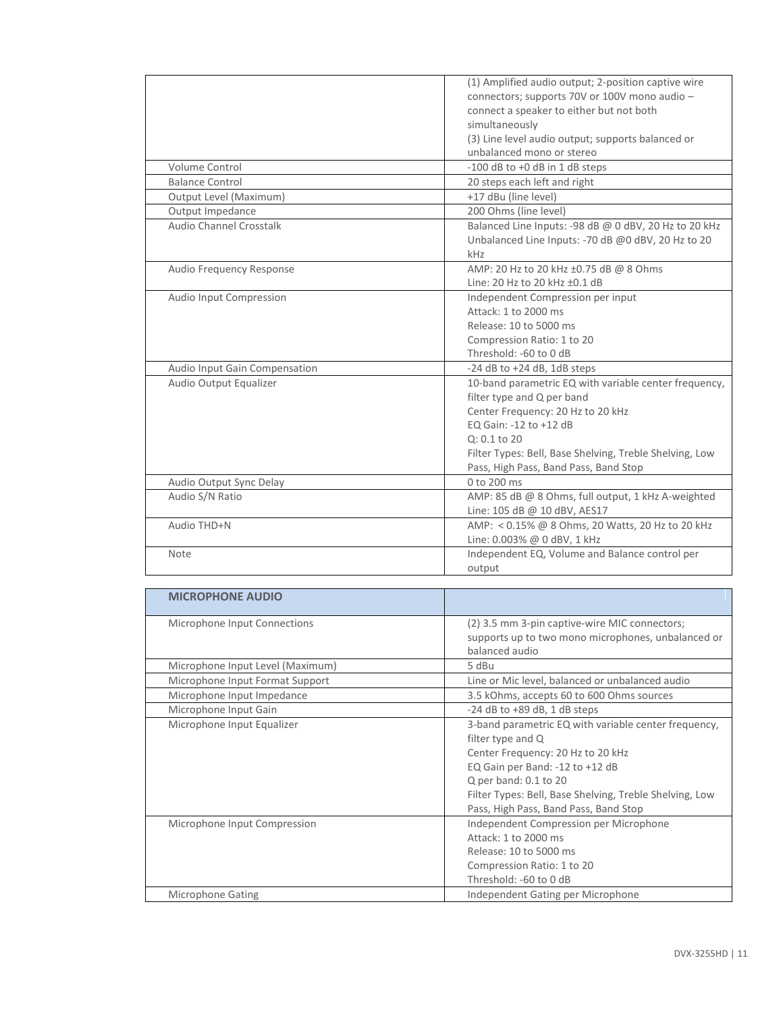|                               | (1) Amplified audio output; 2-position captive wire     |
|-------------------------------|---------------------------------------------------------|
|                               | connectors; supports 70V or 100V mono audio -           |
|                               | connect a speaker to either but not both                |
|                               | simultaneously                                          |
|                               | (3) Line level audio output; supports balanced or       |
|                               | unbalanced mono or stereo                               |
| Volume Control                | -100 dB to +0 dB in 1 dB steps                          |
| <b>Balance Control</b>        | 20 steps each left and right                            |
| Output Level (Maximum)        | +17 dBu (line level)                                    |
| Output Impedance              | 200 Ohms (line level)                                   |
| Audio Channel Crosstalk       | Balanced Line Inputs: -98 dB @ 0 dBV, 20 Hz to 20 kHz   |
|                               | Unbalanced Line Inputs: -70 dB @0 dBV, 20 Hz to 20      |
|                               | kHz                                                     |
| Audio Frequency Response      | AMP: 20 Hz to 20 kHz ±0.75 dB @ 8 Ohms                  |
|                               | Line: 20 Hz to 20 kHz ±0.1 dB                           |
| Audio Input Compression       | Independent Compression per input                       |
|                               | Attack: 1 to 2000 ms                                    |
|                               | Release: 10 to 5000 ms                                  |
|                               | Compression Ratio: 1 to 20                              |
|                               | Threshold: -60 to 0 dB                                  |
| Audio Input Gain Compensation | $-24$ dB to $+24$ dB, 1dB steps                         |
| Audio Output Equalizer        | 10-band parametric EQ with variable center frequency,   |
|                               | filter type and Q per band                              |
|                               | Center Frequency: 20 Hz to 20 kHz                       |
|                               | EQ Gain: -12 to +12 dB                                  |
|                               | $Q: 0.1$ to 20                                          |
|                               | Filter Types: Bell, Base Shelving, Treble Shelving, Low |
|                               | Pass, High Pass, Band Pass, Band Stop                   |
| Audio Output Sync Delay       | 0 to 200 ms                                             |
| Audio S/N Ratio               | AMP: 85 dB @ 8 Ohms, full output, 1 kHz A-weighted      |
|                               | Line: 105 dB @ 10 dBV, AES17                            |
| Audio THD+N                   | AMP: < 0.15% @ 8 Ohms, 20 Watts, 20 Hz to 20 kHz        |
|                               | Line: 0.003% @ 0 dBV, 1 kHz                             |
| Note                          | Independent EQ, Volume and Balance control per          |
|                               | output                                                  |

| <b>MICROPHONE AUDIO</b>          |                                                         |
|----------------------------------|---------------------------------------------------------|
| Microphone Input Connections     | (2) 3.5 mm 3-pin captive-wire MIC connectors;           |
|                                  | supports up to two mono microphones, unbalanced or      |
|                                  | balanced audio                                          |
| Microphone Input Level (Maximum) | 5 dBu                                                   |
| Microphone Input Format Support  | Line or Mic level, balanced or unbalanced audio         |
| Microphone Input Impedance       | 3.5 kOhms, accepts 60 to 600 Ohms sources               |
| Microphone Input Gain            | $-24$ dB to $+89$ dB, 1 dB steps                        |
| Microphone Input Equalizer       | 3-band parametric EQ with variable center frequency,    |
|                                  | filter type and Q                                       |
|                                  | Center Frequency: 20 Hz to 20 kHz                       |
|                                  | EQ Gain per Band: -12 to +12 dB                         |
|                                  | Q per band: $0.1$ to $20$                               |
|                                  | Filter Types: Bell, Base Shelving, Treble Shelving, Low |
|                                  | Pass, High Pass, Band Pass, Band Stop                   |
| Microphone Input Compression     | Independent Compression per Microphone                  |
|                                  | Attack: 1 to 2000 ms                                    |
|                                  | Release: 10 to 5000 ms                                  |
|                                  | Compression Ratio: 1 to 20                              |
|                                  | Threshold: -60 to 0 dB                                  |
| <b>Microphone Gating</b>         | Independent Gating per Microphone                       |